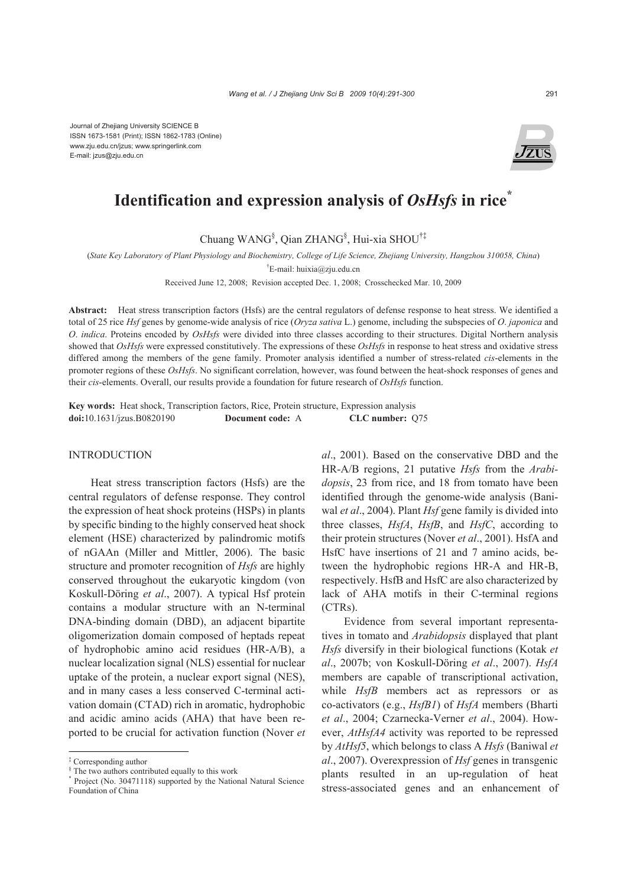Journal of Zhejiang University SCIENCE B ISSN 1673-1581 (Print); ISSN 1862-1783 (Online) www.zju.edu.cn/jzus; www.springerlink.com E-mail: jzus@zju.edu.cn



# **Identification and expression analysis of** *OsHsfs* **in rice\***

Chuang WANG§ , Qian ZHANG§ , Hui-xia SHOU†‡

(*State Key Laboratory of Plant Physiology and Biochemistry, College of Life Science, Zhejiang University, Hangzhou 310058, China*)

† E-mail: huixia@zju.edu.cn

Received June 12, 2008; Revision accepted Dec. 1, 2008; Crosschecked Mar. 10, 2009

**Abstract:** Heat stress transcription factors (Hsfs) are the central regulators of defense response to heat stress. We identified a total of 25 rice *Hsf* genes by genome-wide analysis of rice (*Oryza sativa* L.) genome, including the subspecies of *O*. *japonica* and *O*. *indica*. Proteins encoded by *OsHsfs* were divided into three classes according to their structures. Digital Northern analysis showed that *OsHsfs* were expressed constitutively. The expressions of these *OsHsfs* in response to heat stress and oxidative stress differed among the members of the gene family. Promoter analysis identified a number of stress-related *cis*-elements in the promoter regions of these *OsHsfs*. No significant correlation, however, was found between the heat-shock responses of genes and their *cis*-elements. Overall, our results provide a foundation for future research of *OsHsfs* function.

**Key words:** Heat shock, Transcription factors, Rice, Protein structure, Expression analysis **doi:**10.1631/jzus.B0820190 **Document code:** A **CLC number:** Q75

# INTRODUCTION

Heat stress transcription factors (Hsfs) are the central regulators of defense response. They control the expression of heat shock proteins (HSPs) in plants by specific binding to the highly conserved heat shock element (HSE) characterized by palindromic motifs of nGAAn (Miller and Mittler, 2006). The basic structure and promoter recognition of *Hsfs* are highly conserved throughout the eukaryotic kingdom (von Koskull-Döring *et al*., 2007). A typical Hsf protein contains a modular structure with an N-terminal DNA-binding domain (DBD), an adjacent bipartite oligomerization domain composed of heptads repeat of hydrophobic amino acid residues (HR-A/B), a nuclear localization signal (NLS) essential for nuclear uptake of the protein, a nuclear export signal (NES), and in many cases a less conserved C-terminal activation domain (CTAD) rich in aromatic, hydrophobic and acidic amino acids (AHA) that have been reported to be crucial for activation function (Nover *et*

*al*., 2001). Based on the conservative DBD and the HR-A/B regions, 21 putative *Hsfs* from the *Arabidopsis*, 23 from rice, and 18 from tomato have been identified through the genome-wide analysis (Baniwal *et al*., 2004). Plant *Hsf* gene family is divided into three classes, *HsfA*, *HsfB*, and *HsfC*, according to their protein structures (Nover *et al*., 2001). HsfA and HsfC have insertions of 21 and 7 amino acids, between the hydrophobic regions HR-A and HR-B, respectively. HsfB and HsfC are also characterized by lack of AHA motifs in their C-terminal regions (CTRs).

Evidence from several important representatives in tomato and *Arabidopsis* displayed that plant *Hsfs* diversify in their biological functions (Kotak *et al*., 2007b; von Koskull-Döring *et al*., 2007). *HsfA* members are capable of transcriptional activation, while *HsfB* members act as repressors or as co-activators (e.g., *HsfB1*) of *HsfA* members (Bharti *et al*., 2004; Czarnecka-Verner *et al*., 2004). However, *AtHsfA4* activity was reported to be repressed by *AtHsf5*, which belongs to class A *Hsfs* (Baniwal *et al*., 2007). Overexpression of *Hsf* genes in transgenic plants resulted in an up-regulation of heat stress-associated genes and an enhancement of

<sup>‡</sup> Corresponding author

<sup>§</sup> The two authors contributed equally to this work

<sup>\*</sup> Project (No. 30471118) supported by the National Natural Science Foundation of China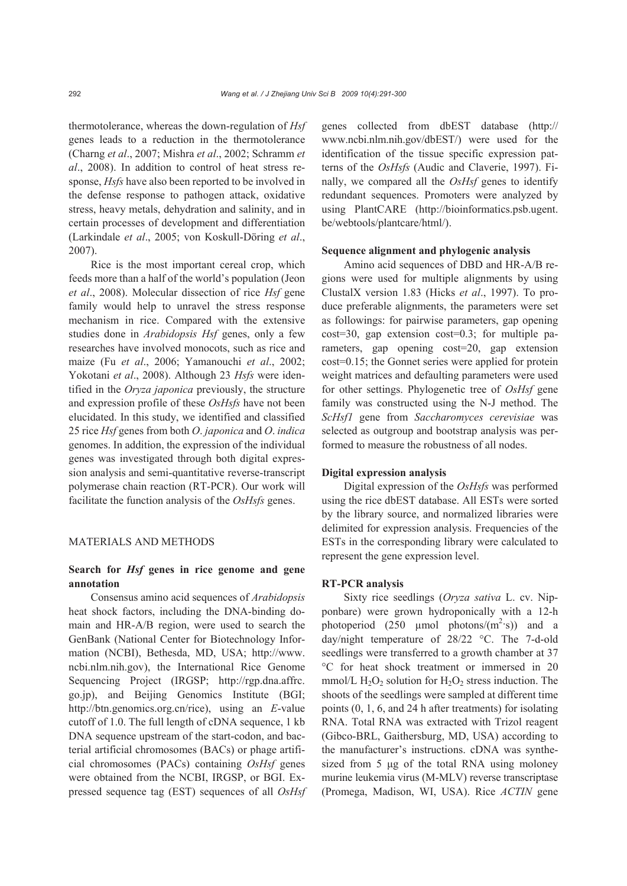thermotolerance, whereas the down-regulation of *Hsf* genes leads to a reduction in the thermotolerance (Charng *et al*., 2007; Mishra *et al*., 2002; Schramm *et al*., 2008). In addition to control of heat stress response, *Hsfs* have also been reported to be involved in the defense response to pathogen attack, oxidative stress, heavy metals, dehydration and salinity, and in certain processes of development and differentiation (Larkindale *et al*., 2005; von Koskull-Döring *et al*., 2007).

Rice is the most important cereal crop, which feeds more than a half of the world's population (Jeon *et al*., 2008). Molecular dissection of rice *Hsf* gene family would help to unravel the stress response mechanism in rice. Compared with the extensive studies done in *Arabidopsis Hsf* genes, only a few researches have involved monocots, such as rice and maize (Fu *et al*., 2006; Yamanouchi *et al*., 2002; Yokotani *et al*., 2008). Although 23 *Hsfs* were identified in the *Oryza japonica* previously, the structure and expression profile of these *OsHsfs* have not been elucidated. In this study, we identified and classified 25 rice *Hsf* genes from both *O*. *japonica* and *O*. *indica* genomes. In addition, the expression of the individual genes was investigated through both digital expression analysis and semi-quantitative reverse-transcript polymerase chain reaction (RT-PCR). Our work will facilitate the function analysis of the *OsHsfs* genes.

### MATERIALS AND METHODS

# **Search for** *Hsf* **genes in rice genome and gene annotation**

Consensus amino acid sequences of *Arabidopsis* heat shock factors, including the DNA-binding domain and HR-A/B region, were used to search the GenBank (National Center for Biotechnology Information (NCBI), Bethesda, MD, USA; http://www. ncbi.nlm.nih.gov), the International Rice Genome Sequencing Project (IRGSP; http://rgp.dna.affrc. go.jp), and Beijing Genomics Institute (BGI; http://btn.genomics.org.cn/rice), using an *E*-value cutoff of 1.0. The full length of cDNA sequence, 1 kb DNA sequence upstream of the start-codon, and bacterial artificial chromosomes (BACs) or phage artificial chromosomes (PACs) containing *OsHsf* genes were obtained from the NCBI, IRGSP, or BGI. Expressed sequence tag (EST) sequences of all *OsHsf* genes collected from dbEST database (http:// www.ncbi.nlm.nih.gov/dbEST/) were used for the identification of the tissue specific expression patterns of the *OsHsfs* (Audic and Claverie, 1997). Finally, we compared all the *OsHsf* genes to identify redundant sequences. Promoters were analyzed by using PlantCARE (http://bioinformatics.psb.ugent. be/webtools/plantcare/html/).

### **Sequence alignment and phylogenic analysis**

Amino acid sequences of DBD and HR-A/B regions were used for multiple alignments by using ClustalX version 1.83 (Hicks *et al*., 1997). To produce preferable alignments, the parameters were set as followings: for pairwise parameters, gap opening cost=30, gap extension cost=0.3; for multiple parameters, gap opening cost=20, gap extension cost=0.15; the Gonnet series were applied for protein weight matrices and defaulting parameters were used for other settings. Phylogenetic tree of *OsHsf* gene family was constructed using the N-J method. The *ScHsf1* gene from *Saccharomyces cerevisiae* was selected as outgroup and bootstrap analysis was performed to measure the robustness of all nodes.

#### **Digital expression analysis**

Digital expression of the *OsHsfs* was performed using the rice dbEST database. All ESTs were sorted by the library source, and normalized libraries were delimited for expression analysis. Frequencies of the ESTs in the corresponding library were calculated to represent the gene expression level.

### **RT-PCR analysis**

Sixty rice seedlings (*Oryza sativa* L. cv. Nipponbare) were grown hydroponically with a 12-h photoperiod  $(250 \text{ \mu mol} \text{ photons/(m}^2 \text{ s}))$  and a day/night temperature of 28/22 °C. The 7-d-old seedlings were transferred to a growth chamber at 37 °C for heat shock treatment or immersed in 20 mmol/L  $H_2O_2$  solution for  $H_2O_2$  stress induction. The shoots of the seedlings were sampled at different time points (0, 1, 6, and 24 h after treatments) for isolating RNA. Total RNA was extracted with Trizol reagent (Gibco-BRL, Gaithersburg, MD, USA) according to the manufacturer's instructions. cDNA was synthesized from 5 μg of the total RNA using moloney murine leukemia virus (M-MLV) reverse transcriptase (Promega, Madison, WI, USA). Rice *ACTIN* gene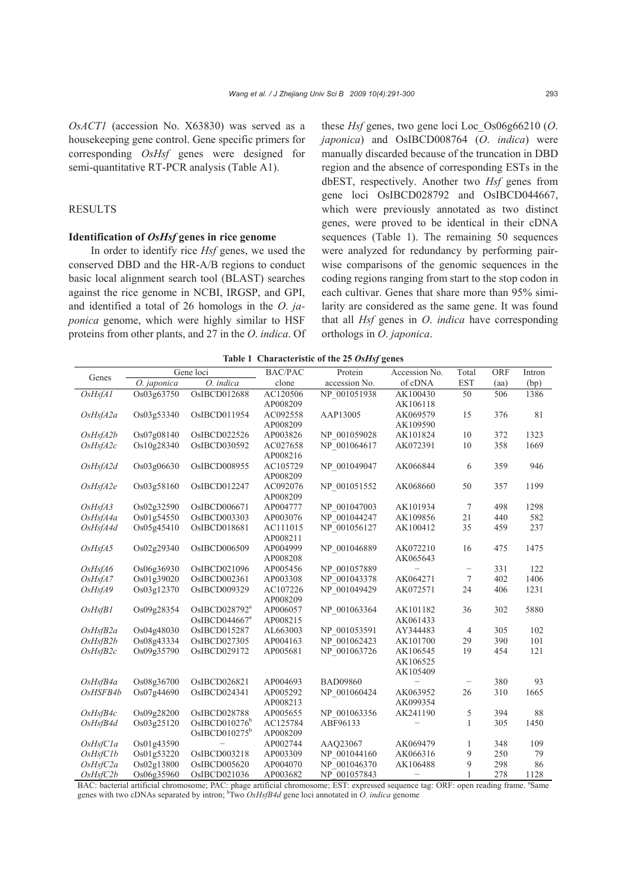*OsACT1* (accession No. X63830) was served as a housekeeping gene control. Gene specific primers for corresponding *OsHsf* genes were designed for semi-quantitative RT-PCR analysis (Table A1).

# RESULTS

# **Identification of** *OsHsf* **genes in rice genome**

In order to identify rice *Hsf* genes, we used the conserved DBD and the HR-A/B regions to conduct basic local alignment search tool (BLAST) searches against the rice genome in NCBI, IRGSP, and GPI, and identified a total of 26 homologs in the *O*. *japonica* genome, which were highly similar to HSF proteins from other plants, and 27 in the *O*. *indica*. Of

these *Hsf* genes, two gene loci Loc\_Os06g66210 (*O*. *japonica*) and OsIBCD008764 (*O*. *indica*) were manually discarded because of the truncation in DBD region and the absence of corresponding ESTs in the dbEST, respectively. Another two *Hsf* genes from gene loci OsIBCD028792 and OsIBCD044667, which were previously annotated as two distinct genes, were proved to be identical in their cDNA sequences (Table 1). The remaining 50 sequences were analyzed for redundancy by performing pairwise comparisons of the genomic sequences in the coding regions ranging from start to the stop codon in each cultivar. Genes that share more than 95% similarity are considered as the same gene. It was found that all *Hsf* genes in *O*. *indica* have corresponding orthologs in *O*. *japonica*.

**Table 1 Characteristic of the 25** *OsHsf* **genes**

| Table 1 Characteristic of the 25 OsHsf genes |             |                           |                |                 |                   |                          |      |        |  |  |  |
|----------------------------------------------|-------------|---------------------------|----------------|-----------------|-------------------|--------------------------|------|--------|--|--|--|
|                                              |             | Gene loci                 | <b>BAC/PAC</b> | Protein         | Accession No.     | Total                    | ORF  | Intron |  |  |  |
| Genes                                        | O. japonica | O. indica                 | clone          | accession No.   | of cDNA           | <b>EST</b>               | (aa) | (bp)   |  |  |  |
| OsHsfA1                                      | Os03g63750  | OsIBCD012688              | AC120506       | NP_001051938    | AK100430          | 50                       | 506  | 1386   |  |  |  |
|                                              |             |                           | AP008209       |                 | AK106118          |                          |      |        |  |  |  |
| OsHsfA2a                                     | Os03g53340  | OsIBCD011954              | AC092558       | AAP13005        | AK069579          | 15                       | 376  | 81     |  |  |  |
|                                              |             |                           | AP008209       |                 | AK109590          |                          |      |        |  |  |  |
| OsHsfA2b                                     | Os07g08140  | OsIBCD022526              | AP003826       | NP 001059028    | AK101824          | 10                       | 372  | 1323   |  |  |  |
| OsHsfA2c                                     | Os10g28340  | OsIBCD030592              | AC027658       | NP 001064617    | AK072391          | 10                       | 358  | 1669   |  |  |  |
|                                              |             |                           | AP008216       |                 |                   |                          |      |        |  |  |  |
| OsHsfA2d                                     | Os03g06630  | OsIBCD008955              | AC105729       | NP_001049047    | AK066844          | 6                        | 359  | 946    |  |  |  |
|                                              |             |                           | AP008209       |                 |                   |                          |      |        |  |  |  |
| OsHsfA2e                                     | Os03g58160  | OsIBCD012247              | AC092076       | NP 001051552    | AK068660          | 50                       | 357  | 1199   |  |  |  |
|                                              |             |                           | AP008209       |                 |                   |                          |      |        |  |  |  |
| OsHsfA3                                      | Os02g32590  | OsIBCD006671              | AP004777       | NP 001047003    | AK101934          | 7                        | 498  | 1298   |  |  |  |
| OsHsfA4a                                     | Os01g54550  | OsIBCD003303              | AP003076       | NP 001044247    | AK109856          | 21                       | 440  | 582    |  |  |  |
| OsHsfA4d                                     | Os05g45410  | OsIBCD018681              | AC111015       | NP 001056127    | AK100412          | 35                       | 459  | 237    |  |  |  |
|                                              |             |                           | AP008211       |                 |                   |                          |      |        |  |  |  |
| OsHsfA5                                      | Os02g29340  | OsIBCD006509              | AP004999       | NP 001046889    | AK072210          | 16                       | 475  | 1475   |  |  |  |
|                                              |             |                           | AP008208       |                 | AK065643          |                          |      |        |  |  |  |
| OsHsfA6                                      | Os06g36930  | OsIBCD021096              | AP005456       | NP 001057889    |                   | $\overline{\phantom{0}}$ | 331  | 122    |  |  |  |
| OsHsfA7                                      | Os01g39020  | OsIBCD002361              | AP003308       | NP 001043378    | AK064271          | $\tau$                   | 402  | 1406   |  |  |  |
| OsHsfA9                                      | Os03g12370  | OsIBCD009329              | AC107226       | NP 001049429    | AK072571          | 24                       | 406  | 1231   |  |  |  |
|                                              |             |                           | AP008209       |                 |                   |                          |      |        |  |  |  |
| OsHsfB1                                      | Os09g28354  | OsIBCD028792 <sup>a</sup> | AP006057       | NP 001063364    | AK101182          | 36                       | 302  | 5880   |  |  |  |
|                                              |             | OsIBCD044667 <sup>a</sup> | AP008215       |                 | AK061433          |                          |      |        |  |  |  |
| $OsHs$ f $B2a$                               | Os04g48030  | OsIBCD015287              | AL663003       | NP 001053591    | AY344483          | $\overline{4}$           | 305  | 102    |  |  |  |
| $OsHs$ $B2b$                                 | Os08g43334  | OsIBCD027305              | AP004163       | NP 001062423    | AK101700          | 29                       | 390  | 101    |  |  |  |
| $OsHs$ $B2c$                                 | Os09g35790  | OsIBCD029172              | AP005681       | NP 001063726    | AK106545          | 19                       | 454  | 121    |  |  |  |
|                                              |             |                           |                |                 | AK106525          |                          |      |        |  |  |  |
|                                              |             |                           |                |                 | AK105409          |                          |      |        |  |  |  |
| $OsHs$ f $B4a$                               | Os08g36700  | OsIBCD026821              | AP004693       | <b>BAD09860</b> |                   | $\overline{\phantom{0}}$ | 380  | 93     |  |  |  |
| OsHSFB4b                                     | Os07g44690  | OsIBCD024341              | AP005292       | NP 001060424    | AK063952          | 26                       | 310  | 1665   |  |  |  |
|                                              |             |                           | AP008213       |                 | AK099354          |                          |      |        |  |  |  |
| $OsHs$ fB4 $c$                               | Os09g28200  | OsIBCD028788              | AP005655       | NP 001063356    | AK241190          | 5                        | 394  | 88     |  |  |  |
| OsHsfB4d                                     | Os03g25120  | OsIBCD010276 <sup>b</sup> | AC125784       | ABF96133        |                   | 1                        | 305  | 1450   |  |  |  |
|                                              |             | OsIBCD010275 <sup>b</sup> | AP008209       |                 |                   |                          |      |        |  |  |  |
| OsHsfCla                                     | Os01g43590  |                           | AP002744       | AAQ23067        | AK069479          | 1                        | 348  | 109    |  |  |  |
| OsHsfC1b                                     | Os01g53220  | OsIBCD003218              | AP003309       | NP 001044160    | AK066316          | 9                        | 250  | 79     |  |  |  |
| OsHsfC2a                                     | Os02g13800  | OsIBCD005620              | AP004070       | NP 001046370    | AK106488          | 9                        | 298  | 86     |  |  |  |
| OsHsfC2b                                     | Os06g35960  | OsIBCD021036              | AP003682       | NP 001057843    | $\qquad \qquad -$ | 1                        | 278  | 1128   |  |  |  |

BAC: bacterial artificial chromosome; PAC: phage artificial chromosome; EST: expressed sequence tag: ORF: open reading frame. <sup>a</sup>Same genes with two cDNAs separated by intron; b Two *OsHsfB4d* gene loci annotated in *O. indica* genome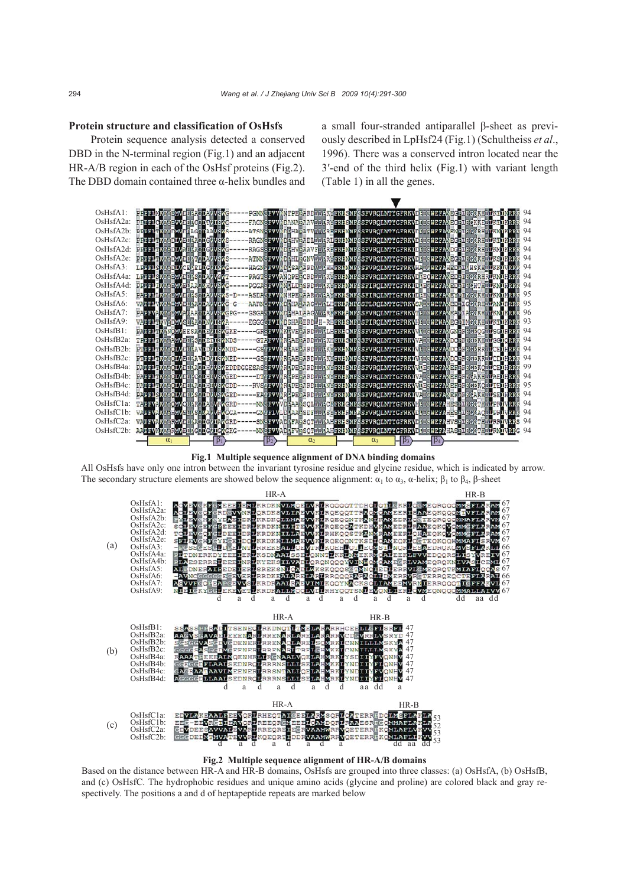### **Protein structure and classification of OsHsfs**

Protein sequence analysis detected a conserved DBD in the N-terminal region (Fig.1) and an adjacent HR-A/B region in each of the OsHsf proteins (Fig.2). The DBD domain contained three  $\alpha$ -helix bundles and a small four-stranded antiparallel β-sheet as previously described in LpHsf24 (Fig.1) (Schultheiss *et al*., 1996). There was a conserved intron located near the 3′-end of the third helix (Fig.1) with variant length (Table 1) in all the genes.



**Fig.1 Multiple sequence alignment of DNA binding domains** 

All OsHsfs have only one intron between the invariant tyrosine residue and glycine residue, which is indicated by arrow. The secondary structure elements are showed below the sequence alignment:  $\alpha_1$  to  $\alpha_3$ ,  $\alpha$ -helix;  $\beta_1$  to  $\beta_4$ ,  $\beta$ -sheet



**Fig.2 Multiple sequence alignment of HR-A/B domains** 

Based on the distance between HR-A and HR-B domains, OsHsfs are grouped into three classes: (a) OsHsfA, (b) OsHsfB, and (c) OsHsfC. The hydrophobic residues and unique amino acids (glycine and proline) are colored black and gray respectively. The positions a and d of heptapeptide repeats are marked below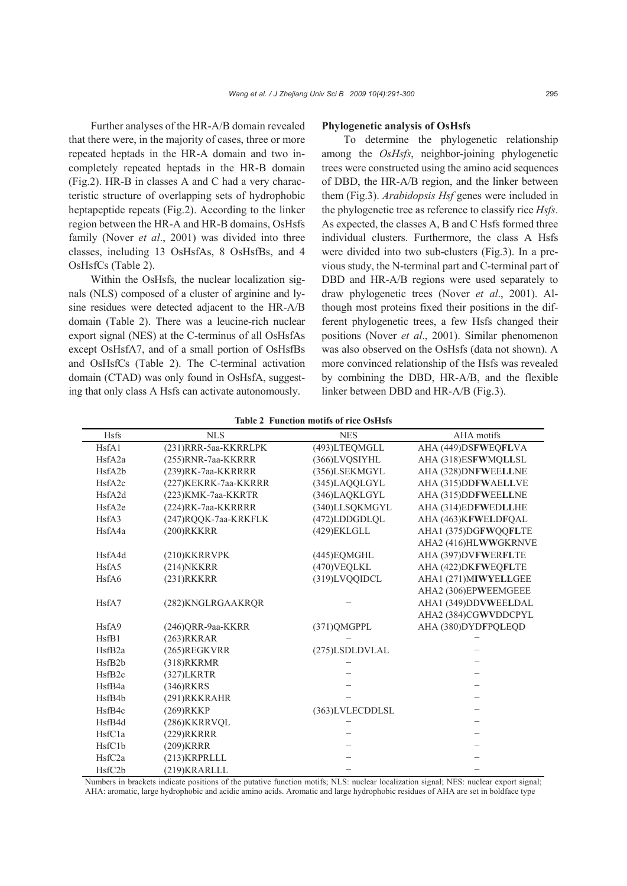Further analyses of the HR-A/B domain revealed that there were, in the majority of cases, three or more repeated heptads in the HR-A domain and two incompletely repeated heptads in the HR-B domain (Fig.2). HR-B in classes A and C had a very characteristic structure of overlapping sets of hydrophobic heptapeptide repeats (Fig.2). According to the linker region between the HR-A and HR-B domains, OsHsfs family (Nover *et al*., 2001) was divided into three classes, including 13 OsHsfAs, 8 OsHsfBs, and 4 OsHsfCs (Table 2).

Within the OsHsfs, the nuclear localization signals (NLS) composed of a cluster of arginine and lysine residues were detected adjacent to the HR-A/B domain (Table 2). There was a leucine-rich nuclear export signal (NES) at the C-terminus of all OsHsfAs except OsHsfA7, and of a small portion of OsHsfBs and OsHsfCs (Table 2). The C-terminal activation domain (CTAD) was only found in OsHsfA, suggesting that only class A Hsfs can activate autonomously.

#### **Phylogenetic analysis of OsHsfs**

To determine the phylogenetic relationship among the *OsHsfs*, neighbor-joining phylogenetic trees were constructed using the amino acid sequences of DBD, the HR-A/B region, and the linker between them (Fig.3). *Arabidopsis Hsf* genes were included in the phylogenetic tree as reference to classify rice *Hsfs*. As expected, the classes A, B and C Hsfs formed three individual clusters. Furthermore, the class A Hsfs were divided into two sub-clusters (Fig.3). In a previous study, the N-terminal part and C-terminal part of DBD and HR-A/B regions were used separately to draw phylogenetic trees (Nover *et al*., 2001). Although most proteins fixed their positions in the different phylogenetic trees, a few Hsfs changed their positions (Nover *et al*., 2001). Similar phenomenon was also observed on the OsHsfs (data not shown). A more convinced relationship of the Hsfs was revealed by combining the DBD, HR-A/B, and the flexible linker between DBD and HR-A/B (Fig.3).

| <b>Hsfs</b>         | <b>NLS</b>            | <b>NES</b>      | AHA motifs           |
|---------------------|-----------------------|-----------------|----------------------|
| HsfA1               | (231)RRR-5aa-KKRRLPK  | (493)LTEQMGLL   | AHA (449) DSFWEQFLVA |
| HsfA2a              | (255)RNR-7aa-KKRRR    | (366)LVQSIYHL   | AHA (318)ESFWMQLLSL  |
| HsfA2b              | (239)RK-7aa-KKRRRR    | (356)LSEKMGYL   | AHA (328) DNFWEELLNE |
| HsfA2c              | (227) KEKRK-7aa-KKRRR | (345)LAQQLGYL   | AHA (315)DDFWAELLVE  |
| HsfA2d              | (223)KMK-7aa-KKRTR    | (346)LAQKLGYL   | AHA (315) DDFWEELLNE |
| HsfA2e              | (224)RK-7aa-KKRRRR    | (340)LLSQKMGYL  | AHA (314)EDFWEDLLHE  |
| HsfA3               | (247)RQQK-7aa-KRKFLK  | (472)LDDGDLQL   | AHA (463) KFWELDFQAL |
| HsfA4a              | (200)RKKRR            | (429)EKLGLL     | AHA1 (375)DGFWQQFLTE |
|                     |                       |                 | AHA2 (416)HLWWGKRNVE |
| HsfA4d              | (210) KKRRVPK         | (445) EQMGHL    | AHA (397)DVFWERFLTE  |
| HsfA5               | $(214)$ NKKRR         | (470) VEOLKL    | AHA (422) DKFWEOFLTE |
| HsfA6               | $(231)$ RKKRR         | (319)LVQQIDCL   | AHA1 (271)MIWYELLGEE |
|                     |                       |                 | AHA2 (306)EPWEEMGEEE |
| HsfA7               | (282)KNGLRGAAKROR     |                 | AHA1 (349)DDVWEELDAL |
|                     |                       |                 | AHA2 (384)CGWVDDCPYL |
| HsfA9               | (246)ORR-9aa-KKRR     | (371)QMGPPL     | AHA (380)DYDFPQLEQD  |
| HsfB1               | $(263)$ RKRAR         |                 |                      |
| HsfB <sub>2</sub> a | (265)REGKVRR          | (275)LSDLDVLAL  |                      |
| HsfB <sub>2</sub> b | (318)RKRMR            |                 |                      |
| HsfB <sub>2c</sub>  | (327)LKRTR            |                 |                      |
| HsfB4a              | $(346)$ RKRS          |                 |                      |
| HsfB4b              | (291)RKKRAHR          |                 |                      |
| HsfB4c              | (269)RKKP             | (363)LVLECDDLSL |                      |
| HsfB4d              | (286)KKRRVQL          |                 |                      |
| HsfC1a              | (229) RKRRR           |                 |                      |
| HsfC1b              | (209) KRRR            |                 |                      |
| HsfC2a              | (213)KRPRLLL          |                 |                      |
| HsfC2b              | (219)KRARLLL          |                 |                      |

**Table 2 Function motifs of rice OsHsfs**

Numbers in brackets indicate positions of the putative function motifs; NLS: nuclear localization signal; NES: nuclear export signal; AHA: aromatic, large hydrophobic and acidic amino acids. Aromatic and large hydrophobic residues of AHA are set in boldface type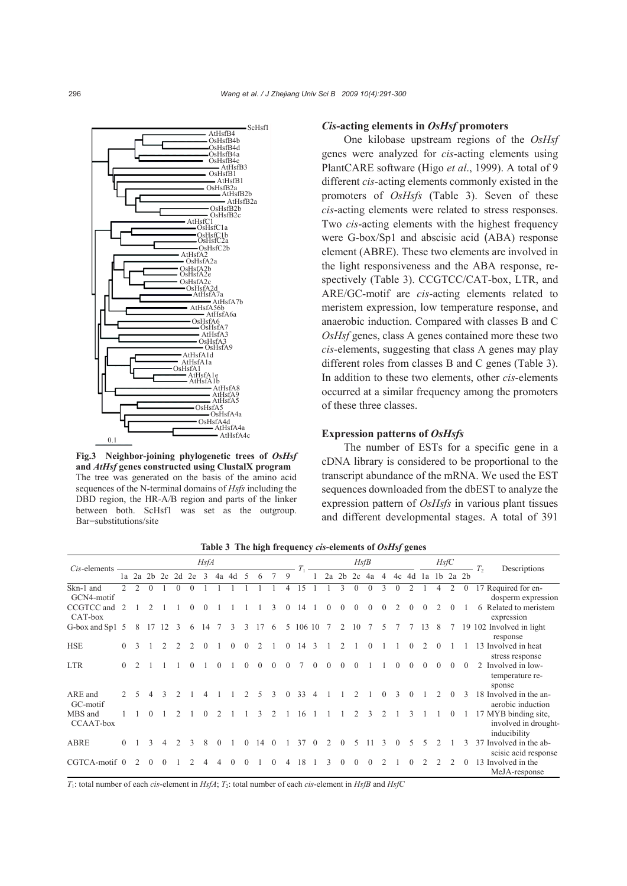

**Fig.3 Neighbor-joining phylogenetic trees of** *OsHsf* **and** *AtHsf* **genes constructed using ClustalX program** The tree was generated on the basis of the amino acid sequences of the N-terminal domains of *Hsfs* including the DBD region, the HR-A/B region and parts of the linker between both. ScHsf1 was set as the outgroup. Bar=substitutions/site

### *Cis***-acting elements in** *OsHsf* **promoters**

One kilobase upstream regions of the *OsHsf*  genes were analyzed for *cis*-acting elements using PlantCARE software (Higo *et al*., 1999). A total of 9 different *cis*-acting elements commonly existed in the promoters of *OsHsfs* (Table 3). Seven of these *cis*-acting elements were related to stress responses. Two *cis*-acting elements with the highest frequency were G-box/Sp1 and abscisic acid (ABA) response element (ABRE). These two elements are involved in the light responsiveness and the ABA response, respectively (Table 3). CCGTCC/CAT-box, LTR, and ARE/GC-motif are *cis*-acting elements related to meristem expression, low temperature response, and anaerobic induction. Compared with classes B and C *OsHsf* genes, class A genes contained more these two *cis*-elements, suggesting that class A genes may play different roles from classes B and C genes (Table 3). In addition to these two elements, other *cis*-elements occurred at a similar frequency among the promoters of these three classes.

## **Expression patterns of** *OsHsfs*

The number of ESTs for a specific gene in a cDNA library is considered to be proportional to the transcript abundance of the mRNA. We used the EST sequences downloaded from the dbEST to analyze the expression pattern of *OsHsfs* in various plant tissues and different developmental stages. A total of 391

| Cis-elements            |                  | <b>HsfA</b>   |                |    |                               |    |          |    |          |          | HsfB           |   |          |        |               |    |                |    | HsfC |               |          |          | Descriptions<br>T <sub>2</sub> |   |                |          |                                                                 |
|-------------------------|------------------|---------------|----------------|----|-------------------------------|----|----------|----|----------|----------|----------------|---|----------|--------|---------------|----|----------------|----|------|---------------|----------|----------|--------------------------------|---|----------------|----------|-----------------------------------------------------------------|
|                         |                  |               | $1a$ $2a$ $2b$ | 2c | 2d                            | 2e | 3        | 4a | 4d       | $\sim$   | 6              |   | 9        |        |               | 2a | 2 <sub>b</sub> | 2c | 4a   | 4c 4d 1a<br>4 |          |          |                                |   | $1b$ $2a$ $2b$ |          |                                                                 |
| Skn-1 and<br>GCN4-motif |                  |               |                |    |                               |    |          |    |          |          |                |   |          |        |               |    |                |    |      |               |          |          |                                |   |                |          | 17 Required for en-<br>dosperm expression                       |
| CCGTCC and<br>CAT-box   | $\mathcal{L}$    |               |                |    |                               |    |          |    |          |          |                |   |          | 14     |               |    |                |    |      |               |          | $^{(1)}$ |                                |   | $\theta$       |          | 6 Related to meristem<br>expression                             |
| G-box and Sp1 5         |                  | 8             | 17             | 12 | -3                            | 6  | 14 7     |    | 3        | 3        | 17             | 6 | 5        | 106 10 |               |    | 2              | 10 |      | 5             |          |          | 13                             | 8 |                |          | 19 102 Involved in light<br>response                            |
| <b>HSE</b>              | $\left( \right)$ | $\mathcal{E}$ |                |    |                               |    | $\Omega$ |    | $\Omega$ | $\Omega$ | $\mathfrak{D}$ |   | $\Omega$ | 14     | $\mathcal{R}$ |    |                |    |      |               |          | 0        |                                |   |                |          | 13 Involved in heat<br>stress response                          |
| <b>LTR</b>              | $\theta$         |               |                |    |                               |    |          |    |          |          |                |   |          |        |               |    |                |    |      |               |          |          |                                |   | $\theta$       | $\Omega$ | Involved in low-<br>$\mathfrak{D}$<br>temperature re-<br>sponse |
| ARE and<br>GC-motif     |                  | 5             | 4              | 3  |                               |    |          |    |          |          | 5.             | 3 | $\Omega$ | 33     |               |    |                |    |      | 0             | 3        | $\Omega$ |                                |   | $\Omega$       |          | 18 Involved in the an-<br>aerobic induction                     |
| MBS and<br>CCAAT-box    |                  |               |                |    |                               |    |          |    |          |          |                |   |          |        |               |    |                |    |      |               |          |          |                                |   |                |          | 17 MYB binding site,<br>involved in drought-<br>inducibility    |
| <b>ABRE</b>             | $\Omega$         |               |                | 4  | $\mathfrak{D}_{\mathfrak{p}}$ | 3  | 8        |    |          |          | 14             |   |          | 37     |               |    |                |    |      |               | $\Omega$ |          |                                |   |                | 3        | Involved in the ab-<br>37<br>scisic acid response               |
| CGTCA-motif 0           |                  | $\mathcal{L}$ |                |    |                               |    |          |    |          |          |                |   | 4        | 18     |               |    |                |    |      |               |          |          |                                |   |                |          | 13 Involved in the<br>MeJA-response                             |

**Table 3 The high frequency** *cis***-elements of** *OsHsf* **genes**

*T*1: total number of each *cis*-element in *HsfA*; *T*2: total number of each *cis*-element in *HsfB* and *HsfC*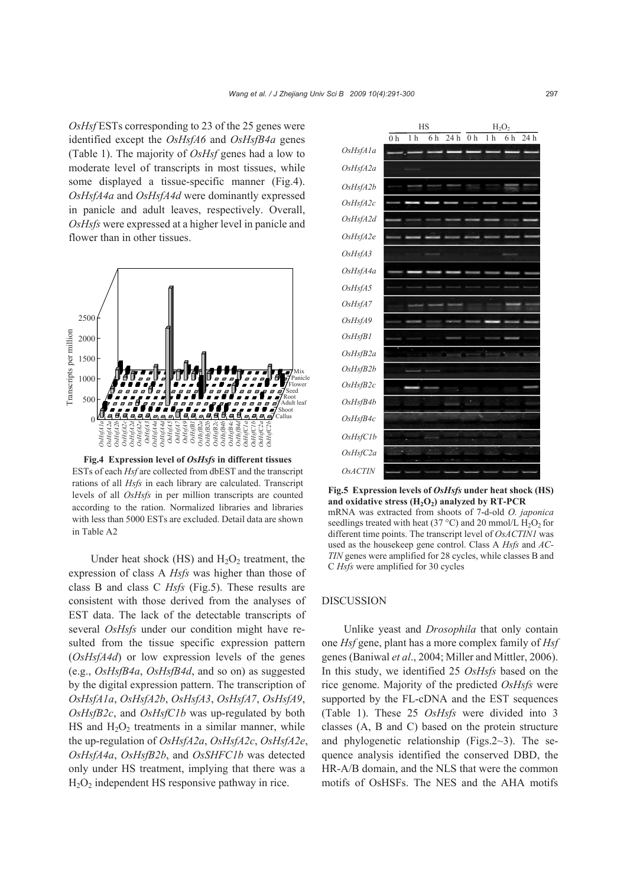*OsHsf* ESTs corresponding to 23 of the 25 genes were identified except the *OsHsfA6* and *OsHsfB4a* genes (Table 1). The majority of *OsHsf* genes had a low to moderate level of transcripts in most tissues, while some displayed a tissue-specific manner (Fig.4). *OsHsfA4a* and *OsHsfA4d* were dominantly expressed in panicle and adult leaves, respectively. Overall, *OsHsfs* were expressed at a higher level in panicle and flower than in other tissues.



**Fig.4 Expression level of** *OsHsfs* **in different tissues**  ESTs of each *Hsf* are collected from dbEST and the transcript rations of all *Hsfs* in each library are calculated. Transcript levels of all *OsHsfs* in per million transcripts are counted according to the ration. Normalized libraries and libraries with less than 5000 ESTs are excluded. Detail data are shown in Table A2

Under heat shock  $(HS)$  and  $H_2O_2$  treatment, the expression of class A *Hsfs* was higher than those of class B and class C *Hsfs* (Fig.5). These results are consistent with those derived from the analyses of EST data. The lack of the detectable transcripts of several *OsHsfs* under our condition might have resulted from the tissue specific expression pattern (*OsHsfA4d*) or low expression levels of the genes (e.g., *OsHsfB4a*, *OsHsfB4d*, and so on) as suggested by the digital expression pattern. The transcription of *OsHsfA1a*, *OsHsfA2b*, *OsHsfA3*, *OsHsfA7*, *OsHsfA9*, *OsHsfB2c*, and *OsHsfC1b* was up-regulated by both HS and  $H_2O_2$  treatments in a similar manner, while the up-regulation of *OsHsfA2a*, *OsHsfA2c*, *OsHsfA2e*, *OsHsfA4a*, *OsHsfB2b*, and *OsSHFC1b* was detected only under HS treatment, implying that there was a  $H<sub>2</sub>O<sub>2</sub>$  independent HS responsive pathway in rice.



**Fig.5 Expression levels of** *OsHsfs* **under heat shock (HS)**  and oxidative stress  $(H_2O_2)$  analyzed by RT-PCR mRNA was extracted from shoots of 7-d-old *O. japonica* seedlings treated with heat (37 °C) and 20 mmol/L  $H_2O_2$  for different time points. The transcript level of *OsACTIN1* was used as the housekeep gene control. Class A *Hsfs* and *AC-TIN* genes were amplified for 28 cycles, while classes B and C *Hsfs* were amplified for 30 cycles

### DISCUSSION

Unlike yeast and *Drosophila* that only contain one *Hsf* gene, plant has a more complex family of *Hsf* genes (Baniwal *et al*., 2004; Miller and Mittler, 2006). In this study, we identified 25 *OsHsfs* based on the rice genome. Majority of the predicted *OsHsfs* were supported by the FL-cDNA and the EST sequences (Table 1). These 25 *OsHsfs* were divided into 3 classes (A, B and C) based on the protein structure and phylogenetic relationship (Figs.2~3). The sequence analysis identified the conserved DBD, the HR-A/B domain, and the NLS that were the common motifs of OsHSFs. The NES and the AHA motifs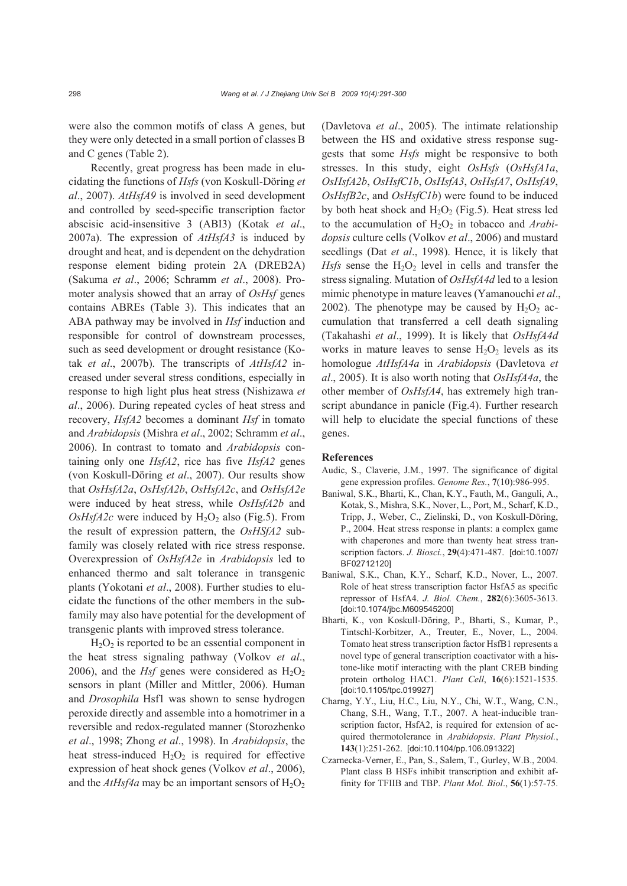were also the common motifs of class A genes, but they were only detected in a small portion of classes B and C genes (Table 2).

Recently, great progress has been made in elucidating the functions of *Hsfs* (von Koskull-Döring *et al*., 2007). *AtHsfA9* is involved in seed development and controlled by seed-specific transcription factor abscisic acid-insensitive 3 (ABI3) (Kotak *et al*., 2007a). The expression of *AtHsfA3* is induced by drought and heat, and is dependent on the dehydration response element biding protein 2A (DREB2A) (Sakuma *et al*., 2006; Schramm *et al*., 2008). Promoter analysis showed that an array of *OsHsf* genes contains ABREs (Table 3). This indicates that an ABA pathway may be involved in *Hsf* induction and responsible for control of downstream processes, such as seed development or drought resistance (Kotak *et al*., 2007b). The transcripts of *AtHsfA2* increased under several stress conditions, especially in response to high light plus heat stress (Nishizawa *et al*., 2006). During repeated cycles of heat stress and recovery, *HsfA2* becomes a dominant *Hsf* in tomato and *Arabidopsis* (Mishra *et al*., 2002; Schramm *et al*., 2006). In contrast to tomato and *Arabidopsis* containing only one *HsfA2*, rice has five *HsfA2* genes (von Koskull-Döring *et al*., 2007). Our results show that *OsHsfA2a*, *OsHsfA2b*, *OsHsfA2c*, and *OsHsfA2e* were induced by heat stress, while *OsHsfA2b* and  $OsHsfA2c$  were induced by  $H_2O_2$  also (Fig.5). From the result of expression pattern, the *OsHSfA2* subfamily was closely related with rice stress response. Overexpression of *OsHsfA2e* in *Arabidopsis* led to enhanced thermo and salt tolerance in transgenic plants (Yokotani *et al*., 2008). Further studies to elucidate the functions of the other members in the subfamily may also have potential for the development of transgenic plants with improved stress tolerance.

 $H<sub>2</sub>O<sub>2</sub>$  is reported to be an essential component in the heat stress signaling pathway (Volkov *et al*., 2006), and the *Hsf* genes were considered as  $H_2O_2$ sensors in plant (Miller and Mittler, 2006). Human and *Drosophila* Hsf1 was shown to sense hydrogen peroxide directly and assemble into a homotrimer in a reversible and redox-regulated manner (Storozhenko *et al*., 1998; Zhong *et al*., 1998). In *Arabidopsis*, the heat stress-induced  $H_2O_2$  is required for effective expression of heat shock genes (Volkov *et al*., 2006), and the  $AtHsfa$  may be an important sensors of  $H_2O_2$ 

(Davletova *et al*., 2005). The intimate relationship between the HS and oxidative stress response suggests that some *Hsfs* might be responsive to both stresses. In this study, eight *OsHsfs* (*OsHsfA1a*, *OsHsfA2b*, *OsHsfC1b*, *OsHsfA3*, *OsHsfA7*, *OsHsfA9*, *OsHsfB2c*, and *OsHsfC1b*) were found to be induced by both heat shock and  $H_2O_2$  (Fig.5). Heat stress led to the accumulation of H<sub>2</sub>O<sub>2</sub> in tobacco and *Arabidopsis* culture cells (Volkov *et al*., 2006) and mustard seedlings (Dat *et al*., 1998). Hence, it is likely that *Hsfs* sense the  $H_2O_2$  level in cells and transfer the stress signaling. Mutation of *OsHsfA4d* led to a lesion mimic phenotype in mature leaves (Yamanouchi *et al*., 2002). The phenotype may be caused by  $H_2O_2$  accumulation that transferred a cell death signaling (Takahashi *et al*., 1999). It is likely that *OsHsfA4d* works in mature leaves to sense  $H_2O_2$  levels as its homologue *AtHsfA4a* in *Arabidopsis* (Davletova *et al*., 2005). It is also worth noting that *OsHsfA4a*, the other member of *OsHsfA4*, has extremely high transcript abundance in panicle (Fig.4). Further research will help to elucidate the special functions of these genes.

### **References**

- Audic, S., Claverie, J.M., 1997. The significance of digital gene expression profiles. *Genome Res.*, **7**(10):986-995.
- Baniwal, S.K., Bharti, K., Chan, K.Y., Fauth, M., Ganguli, A., Kotak, S., Mishra, S.K., Nover, L., Port, M., Scharf, K.D., Tripp, J., Weber, C., Zielinski, D., von Koskull-Döring, P., 2004. Heat stress response in plants: a complex game with chaperones and more than twenty heat stress transcription factors. *J. Biosci.*, **29**(4):471-487. [doi:10.1007/ BF02712120]
- Baniwal, S.K., Chan, K.Y., Scharf, K.D., Nover, L., 2007. Role of heat stress transcription factor HsfA5 as specific repressor of HsfA4. *J. Biol. Chem.*, **282**(6):3605-3613. [doi:10.1074/jbc.M609545200]
- Bharti, K., von Koskull-Döring, P., Bharti, S., Kumar, P., Tintschl-Korbitzer, A., Treuter, E., Nover, L., 2004. Tomato heat stress transcription factor HsfB1 represents a novel type of general transcription coactivator with a histone-like motif interacting with the plant CREB binding protein ortholog HAC1. *Plant Cell*, **16**(6):1521-1535. [doi:10.1105/tpc.019927]
- Charng, Y.Y., Liu, H.C., Liu, N.Y., Chi, W.T., Wang, C.N., Chang, S.H., Wang, T.T., 2007. A heat-inducible transcription factor, HsfA2, is required for extension of acquired thermotolerance in *Arabidopsis*. *Plant Physiol.*, **143**(1):251-262. [doi:10.1104/pp.106.091322]
- Czarnecka-Verner, E., Pan, S., Salem, T., Gurley, W.B., 2004. Plant class B HSFs inhibit transcription and exhibit affinity for TFIIB and TBP. *Plant Mol. Biol*., **56**(1):57-75.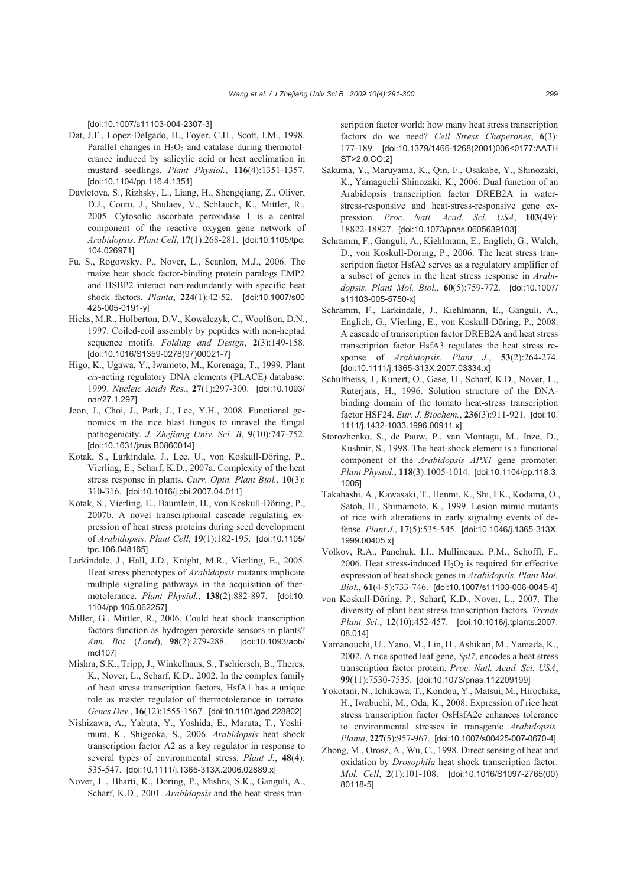[doi:10.1007/s11103-004-2307-3]

- Dat, J.F., Lopez-Delgado, H., Foyer, C.H., Scott, I.M., 1998. Parallel changes in  $H_2O_2$  and catalase during thermotolerance induced by salicylic acid or heat acclimation in mustard seedlings. *Plant Physiol.*, **116**(4):1351-1357. [doi:10.1104/pp.116.4.1351]
- Davletova, S., Rizhsky, L., Liang, H., Shengqiang, Z., Oliver, D.J., Coutu, J., Shulaev, V., Schlauch, K., Mittler, R., 2005. Cytosolic ascorbate peroxidase 1 is a central component of the reactive oxygen gene network of *Arabidopsis*. *Plant Cell*, **17**(1):268-281. [doi:10.1105/tpc. 104.026971]
- Fu, S., Rogowsky, P., Nover, L., Scanlon, M.J., 2006. The maize heat shock factor-binding protein paralogs EMP2 and HSBP2 interact non-redundantly with specific heat shock factors. *Planta*, **224**(1):42-52. [doi:10.1007/s00 425-005-0191-y]
- Hicks, M.R., Holberton, D.V., Kowalczyk, C., Woolfson, D.N., 1997. Coiled-coil assembly by peptides with non-heptad sequence motifs. *Folding and Design*, **2**(3):149-158. [doi:10.1016/S1359-0278(97)00021-7]
- Higo, K., Ugawa, Y., Iwamoto, M., Korenaga, T., 1999. Plant *cis*-acting regulatory DNA elements (PLACE) database: 1999. *Nucleic Acids Res.*, **27**(1):297-300. [doi:10.1093/ nar/27.1.297]
- Jeon, J., Choi, J., Park, J., Lee, Y.H., 2008. Functional genomics in the rice blast fungus to unravel the fungal pathogenicity. *J. Zhejiang Univ. Sci. B*, **9**(10):747-752. [doi:10.1631/jzus.B0860014]
- Kotak, S., Larkindale, J., Lee, U., von Koskull-Döring, P., Vierling, E., Scharf, K.D., 2007a. Complexity of the heat stress response in plants. *Curr. Opin. Plant Biol.*, **10**(3): 310-316. [doi:10.1016/j.pbi.2007.04.011]
- Kotak, S., Vierling, E., Baumlein, H., von Koskull-Döring, P., 2007b. A novel transcriptional cascade regulating expression of heat stress proteins during seed development of *Arabidopsis*. *Plant Cell*, **19**(1):182-195. [doi:10.1105/ tpc.106.048165]
- Larkindale, J., Hall, J.D., Knight, M.R., Vierling, E., 2005. Heat stress phenotypes of *Arabidopsis* mutants implicate multiple signaling pathways in the acquisition of thermotolerance. *Plant Physiol.*, **138**(2):882-897. [doi:10. 1104/pp.105.062257]
- Miller, G., Mittler, R., 2006. Could heat shock transcription factors function as hydrogen peroxide sensors in plants? *Ann. Bot.* (*Lond*), **98**(2):279-288. [doi:10.1093/aob/ mcl107]
- Mishra, S.K., Tripp, J., Winkelhaus, S., Tschiersch, B., Theres, K., Nover, L., Scharf, K.D., 2002. In the complex family of heat stress transcription factors, HsfA1 has a unique role as master regulator of thermotolerance in tomato. *Genes Dev*., **16**(12):1555-1567. [doi:10.1101/gad.228802]
- Nishizawa, A., Yabuta, Y., Yoshida, E., Maruta, T., Yoshimura, K., Shigeoka, S., 2006. *Arabidopsis* heat shock transcription factor A2 as a key regulator in response to several types of environmental stress. *Plant J.*, **48**(4): 535-547. [doi:10.1111/j.1365-313X.2006.02889.x]
- Nover, L., Bharti, K., Doring, P., Mishra, S.K., Ganguli, A., Scharf, K.D., 2001. *Arabidopsis* and the heat stress tran-

scription factor world: how many heat stress transcription factors do we need? *Cell Stress Chaperones*, **6**(3): 177-189. [doi:10.1379/1466-1268(2001)006<0177:AATH ST>2.0.CO;2]

- Sakuma, Y., Maruyama, K., Qin, F., Osakabe, Y., Shinozaki, K., Yamaguchi-Shinozaki, K., 2006. Dual function of an Arabidopsis transcription factor DREB2A in waterstress-responsive and heat-stress-responsive gene expression. *Proc. Natl. Acad. Sci. USA*, **103**(49): 18822-18827. [doi:10.1073/pnas.0605639103]
- Schramm, F., Ganguli, A., Kiehlmann, E., Englich, G., Walch, D., von Koskull-Döring, P., 2006. The heat stress transcription factor HsfA2 serves as a regulatory amplifier of a subset of genes in the heat stress response in *Arabidopsis*. *Plant Mol. Biol.*, **60**(5):759-772. [doi:10.1007/ s11103-005-5750-x]
- Schramm, F., Larkindale, J., Kiehlmann, E., Ganguli, A., Englich, G., Vierling, E., von Koskull-Döring, P., 2008. A cascade of transcription factor DREB2A and heat stress transcription factor HsfA3 regulates the heat stress response of *Arabidopsis*. *Plant J*., **53**(2):264-274. [doi:10.1111/j.1365-313X.2007.03334.x]
- Schultheiss, J., Kunert, O., Gase, U., Scharf, K.D., Nover, L., Ruterjans, H., 1996. Solution structure of the DNAbinding domain of the tomato heat-stress transcription factor HSF24. *Eur. J. Biochem.*, **236**(3):911-921. [doi:10. 1111/j.1432-1033.1996.00911.x]
- Storozhenko, S., de Pauw, P., van Montagu, M., Inze, D., Kushnir, S., 1998. The heat-shock element is a functional component of the *Arabidopsis APX1* gene promoter. *Plant Physiol.*, **118**(3):1005-1014. [doi:10.1104/pp.118.3. 1005]
- Takahashi, A., Kawasaki, T., Henmi, K., Shi, I.K., Kodama, O., Satoh, H., Shimamoto, K., 1999. Lesion mimic mutants of rice with alterations in early signaling events of defense. *Plant J.*, **17**(5):535-545. [doi:10.1046/j.1365-313X. 1999.00405.x]
- Volkov, R.A., Panchuk, I.I., Mullineaux, P.M., Schoffl, F., 2006. Heat stress-induced  $H_2O_2$  is required for effective expression of heat shock genes in *Arabidopsis*. *Plant Mol. Biol.*, **61**(4-5):733-746. [doi:10.1007/s11103-006-0045-4]
- von Koskull-Döring, P., Scharf, K.D., Nover, L., 2007. The diversity of plant heat stress transcription factors. *Trends Plant Sci.*, **12**(10):452-457. [doi:10.1016/j.tplants.2007. 08.014]
- Yamanouchi, U., Yano, M., Lin, H., Ashikari, M., Yamada, K., 2002. A rice spotted leaf gene, *Spl7*, encodes a heat stress transcription factor protein. *Proc. Natl. Acad. Sci. USA*, **99**(11):7530-7535. [doi:10.1073/pnas.112209199]
- Yokotani, N., Ichikawa, T., Kondou, Y., Matsui, M., Hirochika, H., Iwabuchi, M., Oda, K., 2008. Expression of rice heat stress transcription factor OsHsfA2e enhances tolerance to environmental stresses in transgenic *Arabidopsis*. *Planta*, **227**(5):957-967. [doi:10.1007/s00425-007-0670-4]
- Zhong, M., Orosz, A., Wu, C., 1998. Direct sensing of heat and oxidation by *Drosophila* heat shock transcription factor. *Mol. Cell*, **2**(1):101-108. [doi:10.1016/S1097-2765(00) 80118-5]